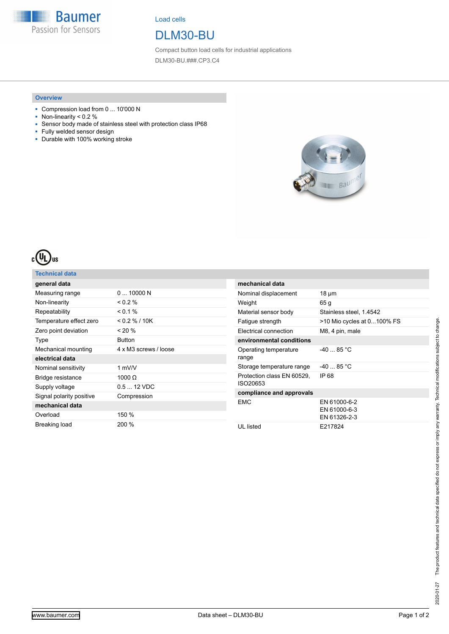**Baumer** Passion for Sensors

Load cells

## DLM30-BU

Compact button load cells for industrial applications DLM30-BU.###.CP3.C4

#### **Overview**

- Compression load from 0 ... 10'000 N
- Non-linearity < 0.2 %
- Sensor body made of stainless steel with protection class IP68
- Fully welded sensor design
- Durable with 100% working stroke





### **Technical data**

| general data             |                       |
|--------------------------|-----------------------|
| Measuring range          | 010000N               |
| Non-linearity            | $0.2\%$               |
| Repeatability            | $0.1\%$               |
| Temperature effect zero  | $<$ 0.2 % / 10K       |
| Zero point deviation     | $< 20\%$              |
| Type                     | <b>Button</b>         |
| Mechanical mounting      | 4 x M3 screws / loose |
| electrical data          |                       |
| Nominal sensitivity      | 1 $mV/V$              |
| Bridge resistance        | 1000 $\Omega$         |
| Supply voltage           | $0.512$ VDC           |
| Signal polarity positive | Compression           |
| mechanical data          |                       |
| Overload                 | 150 %                 |
| Breaking load            | 200 %                 |

| mechanical data                        |                                              |
|----------------------------------------|----------------------------------------------|
| Nominal displacement                   | 18 µm                                        |
| Weight                                 | 65 g                                         |
| Material sensor body                   | Stainless steel, 1.4542                      |
| Fatique strength                       | >10 Mio cycles at 0100% FS                   |
| <b>Electrical connection</b>           | M8, 4 pin, male                              |
| environmental conditions               |                                              |
| Operating temperature<br>range         | $-4085$ °C                                   |
| Storage temperature range              | $-4085$ °C                                   |
| Protection class EN 60529.<br>ISO20653 | IP 68                                        |
| compliance and approvals               |                                              |
| <b>FMC</b>                             | EN 61000-6-2<br>EN 61000-6-3<br>EN 61326-2-3 |
| UL listed                              | E217824                                      |